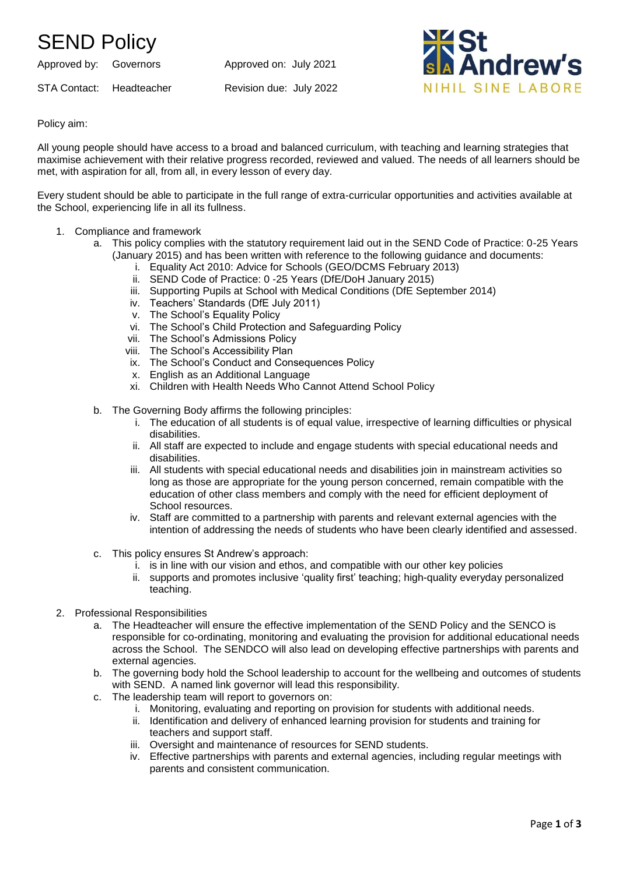## SEND Policy

Approved by: Governors Approved on: July 2021 STA Contact: Headteacher Revision due: July 2022



Policy aim:

All young people should have access to a broad and balanced curriculum, with teaching and learning strategies that maximise achievement with their relative progress recorded, reviewed and valued. The needs of all learners should be met, with aspiration for all, from all, in every lesson of every day.

Every student should be able to participate in the full range of extra-curricular opportunities and activities available at the School, experiencing life in all its fullness.

- 1. Compliance and framework
	- a. This policy complies with the statutory requirement laid out in the SEND Code of Practice: 0-25 Years (January 2015) and has been written with reference to the following guidance and documents:
		- i. Equality Act 2010: Advice for Schools (GEO/DCMS February 2013)
		- ii. SEND Code of Practice: 0 -25 Years (DfE/DoH January 2015)
		- iii. Supporting Pupils at School with Medical Conditions (DfE September 2014)
		- iv. Teachers' Standards (DfE July 2011)
		- v. The School's Equality Policy
		- vi. The School's Child Protection and Safeguarding Policy
		- vii. The School's Admissions Policy
		- viii. The School's Accessibility Plan
		- ix. The School's Conduct and Consequences Policy
		- x. English as an Additional Language
		- xi. Children with Health Needs Who Cannot Attend School Policy
	- b. The Governing Body affirms the following principles:
		- i. The education of all students is of equal value, irrespective of learning difficulties or physical disabilities.
		- ii. All staff are expected to include and engage students with special educational needs and disabilities.
		- iii. All students with special educational needs and disabilities join in mainstream activities so long as those are appropriate for the young person concerned, remain compatible with the education of other class members and comply with the need for efficient deployment of School resources.
		- iv. Staff are committed to a partnership with parents and relevant external agencies with the intention of addressing the needs of students who have been clearly identified and assessed.
	- c. This policy ensures St Andrew's approach:
		- i. is in line with our vision and ethos, and compatible with our other key policies
		- ii. supports and promotes inclusive 'quality first' teaching; high-quality everyday personalized teaching.
- 2. Professional Responsibilities
	- a. The Headteacher will ensure the effective implementation of the SEND Policy and the SENCO is responsible for co-ordinating, monitoring and evaluating the provision for additional educational needs across the School. The SENDCO will also lead on developing effective partnerships with parents and external agencies.
	- b. The governing body hold the School leadership to account for the wellbeing and outcomes of students with SEND. A named link governor will lead this responsibility.
	- c. The leadership team will report to governors on:
		- i. Monitoring, evaluating and reporting on provision for students with additional needs.
		- ii. Identification and delivery of enhanced learning provision for students and training for teachers and support staff.
		- iii. Oversight and maintenance of resources for SEND students.
		- iv. Effective partnerships with parents and external agencies, including regular meetings with parents and consistent communication.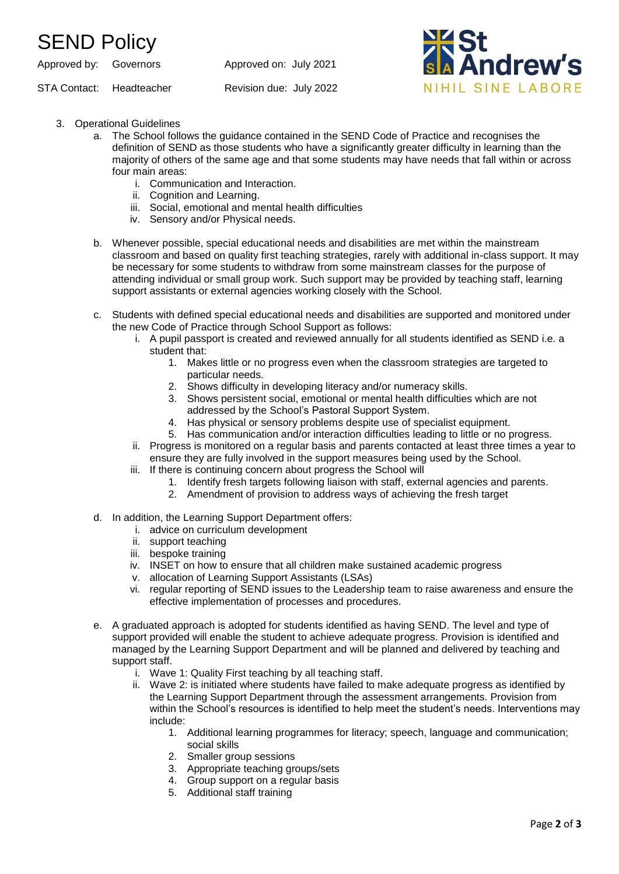## SEND Policy

Approved by: Governors Approved on: July 2021

STA Contact: Headteacher Revision due: July 2022



- 3. Operational Guidelines
	- a. The School follows the guidance contained in the SEND Code of Practice and recognises the definition of SEND as those students who have a significantly greater difficulty in learning than the majority of others of the same age and that some students may have needs that fall within or across four main areas:
		- i. Communication and Interaction.
		- ii. Cognition and Learning.
		- iii. Social, emotional and mental health difficulties
		- iv. Sensory and/or Physical needs.
	- b. Whenever possible, special educational needs and disabilities are met within the mainstream classroom and based on quality first teaching strategies, rarely with additional in-class support. It may be necessary for some students to withdraw from some mainstream classes for the purpose of attending individual or small group work. Such support may be provided by teaching staff, learning support assistants or external agencies working closely with the School.
	- c. Students with defined special educational needs and disabilities are supported and monitored under the new Code of Practice through School Support as follows:
		- i. A pupil passport is created and reviewed annually for all students identified as SEND i.e. a student that:
			- 1. Makes little or no progress even when the classroom strategies are targeted to particular needs.
			- 2. Shows difficulty in developing literacy and/or numeracy skills.
			- 3. Shows persistent social, emotional or mental health difficulties which are not addressed by the School's Pastoral Support System.
			- 4. Has physical or sensory problems despite use of specialist equipment.
			- 5. Has communication and/or interaction difficulties leading to little or no progress.
		- ii. Progress is monitored on a regular basis and parents contacted at least three times a year to ensure they are fully involved in the support measures being used by the School.
		- iii. If there is continuing concern about progress the School will
			- 1. Identify fresh targets following liaison with staff, external agencies and parents.
			- 2. Amendment of provision to address ways of achieving the fresh target
	- d. In addition, the Learning Support Department offers:
		- i. advice on curriculum development
		- ii. support teaching
		- iii. bespoke training
		- iv. INSET on how to ensure that all children make sustained academic progress
		- v. allocation of Learning Support Assistants (LSAs)
		- vi. regular reporting of SEND issues to the Leadership team to raise awareness and ensure the effective implementation of processes and procedures.
	- e. A graduated approach is adopted for students identified as having SEND. The level and type of support provided will enable the student to achieve adequate progress. Provision is identified and managed by the Learning Support Department and will be planned and delivered by teaching and support staff.
		- i. Wave 1: Quality First teaching by all teaching staff.
		- ii. Wave 2: is initiated where students have failed to make adequate progress as identified by the Learning Support Department through the assessment arrangements. Provision from within the School's resources is identified to help meet the student's needs. Interventions may include:
			- 1. Additional learning programmes for literacy; speech, language and communication; social skills
			- 2. Smaller group sessions
			- 3. Appropriate teaching groups/sets
			- 4. Group support on a regular basis
			- 5. Additional staff training